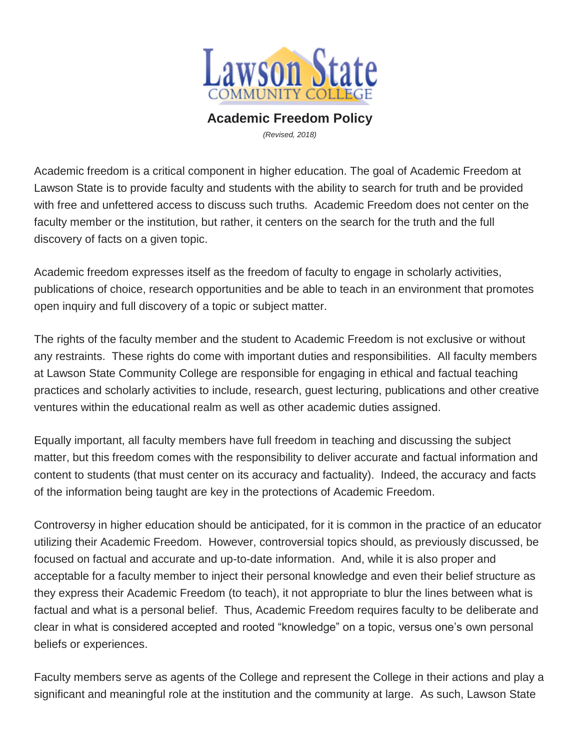

## **Academic Freedom Policy**

*(Revised, 2018)*

Academic freedom is a critical component in higher education. The goal of Academic Freedom at Lawson State is to provide faculty and students with the ability to search for truth and be provided with free and unfettered access to discuss such truths. Academic Freedom does not center on the faculty member or the institution, but rather, it centers on the search for the truth and the full discovery of facts on a given topic.

Academic freedom expresses itself as the freedom of faculty to engage in scholarly activities, publications of choice, research opportunities and be able to teach in an environment that promotes open inquiry and full discovery of a topic or subject matter.

The rights of the faculty member and the student to Academic Freedom is not exclusive or without any restraints. These rights do come with important duties and responsibilities. All faculty members at Lawson State Community College are responsible for engaging in ethical and factual teaching practices and scholarly activities to include, research, guest lecturing, publications and other creative ventures within the educational realm as well as other academic duties assigned.

Equally important, all faculty members have full freedom in teaching and discussing the subject matter, but this freedom comes with the responsibility to deliver accurate and factual information and content to students (that must center on its accuracy and factuality). Indeed, the accuracy and facts of the information being taught are key in the protections of Academic Freedom.

Controversy in higher education should be anticipated, for it is common in the practice of an educator utilizing their Academic Freedom. However, controversial topics should, as previously discussed, be focused on factual and accurate and up-to-date information. And, while it is also proper and acceptable for a faculty member to inject their personal knowledge and even their belief structure as they express their Academic Freedom (to teach), it not appropriate to blur the lines between what is factual and what is a personal belief. Thus, Academic Freedom requires faculty to be deliberate and clear in what is considered accepted and rooted "knowledge" on a topic, versus one's own personal beliefs or experiences.

Faculty members serve as agents of the College and represent the College in their actions and play a significant and meaningful role at the institution and the community at large. As such, Lawson State